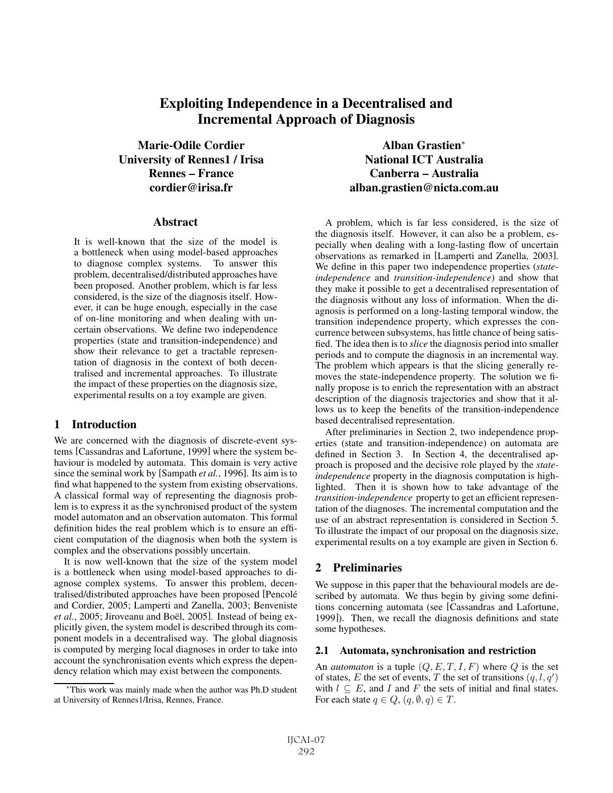# **Exploiting Independence in a Decentralised and Incremental Approach of Diagnosis**

**Marie-Odile Cordier University of Rennes1 / Irisa Rennes – France cordier@irisa.fr**

#### **Abstract**

It is well-known that the size of the model is a bottleneck when using model-based approaches to diagnose complex systems. To answer this problem, decentralised/distributed approaches have been proposed. Another problem, which is far less considered, is the size of the diagnosis itself. However, it can be huge enough, especially in the case of on-line monitoring and when dealing with uncertain observations. We define two independence properties (state and transition-independence) and show their relevance to get a tractable representation of diagnosis in the context of both decentralised and incremental approaches. To illustrate the impact of these properties on the diagnosis size, experimental results on a toy example are given.

# **1 Introduction**

We are concerned with the diagnosis of discrete-event systems [Cassandras and Lafortune, 1999] where the system behaviour is modeled by automata. This domain is very active since the seminal work by [Sampath *et al.*, 1996]. Its aim is to find what happened to the system from existing observations. A classical formal way of representing the diagnosis problem is to express it as the synchronised product of the system model automaton and an observation automaton. This formal definition hides the real problem which is to ensure an efficient computation of the diagnosis when both the system is complex and the observations possibly uncertain.

It is now well-known that the size of the system model is a bottleneck when using model-based approaches to diagnose complex systems. To answer this problem, decentralised/distributed approaches have been proposed [Pencolé and Cordier, 2005; Lamperti and Zanella, 2003; Benveniste *et al.*, 2005; Jiroveanu and Boël, 2005]. Instead of being explicitly given, the system model is described through its component models in a decentralised way. The global diagnosis is computed by merging local diagnoses in order to take into account the synchronisation events which express the dependency relation which may exist between the components.

**Alban Grastien**<sup>∗</sup> **National ICT Australia Canberra – Australia alban.grastien@nicta.com.au**

A problem, which is far less considered, is the size of the diagnosis itself. However, it can also be a problem, especially when dealing with a long-lasting flow of uncertain observations as remarked in [Lamperti and Zanella, 2003]. We define in this paper two independence properties (*stateindependence* and *transition-independence*) and show that they make it possible to get a decentralised representation of the diagnosis without any loss of information. When the diagnosis is performed on a long-lasting temporal window, the transition independence property, which expresses the concurrence between subsystems, has little chance of being satisfied. The idea then is to *slice* the diagnosis period into smaller periods and to compute the diagnosis in an incremental way. The problem which appears is that the slicing generally removes the state-independence property. The solution we finally propose is to enrich the representation with an abstract description of the diagnosis trajectories and show that it allows us to keep the benefits of the transition-independence based decentralised representation.

After preliminaries in Section 2, two independence properties (state and transition-independence) on automata are defined in Section 3. In Section 4, the decentralised approach is proposed and the decisive role played by the *stateindependence* property in the diagnosis computation is highlighted. Then it is shown how to take advantage of the *transition-independence* property to get an efficient representation of the diagnoses. The incremental computation and the use of an abstract representation is considered in Section 5. To illustrate the impact of our proposal on the diagnosis size, experimental results on a toy example are given in Section 6.

# **2 Preliminaries**

We suppose in this paper that the behavioural models are described by automata. We thus begin by giving some definitions concerning automata (see [Cassandras and Lafortune, 1999]). Then, we recall the diagnosis definitions and state some hypotheses.

### **2.1 Automata, synchronisation and restriction**

An *automaton* is a tuple  $(Q, E, T, I, F)$  where  $Q$  is the set of states, E the set of events, T the set of transitions  $(q, l, q')$ with  $l \subseteq E$ , and I and F the sets of initial and final states. For each state  $q \in Q$ ,  $(q, \emptyset, q) \in T$ .

<sup>∗</sup>This work was mainly made when the author was Ph.D student at University of Rennes1/Irisa, Rennes, France.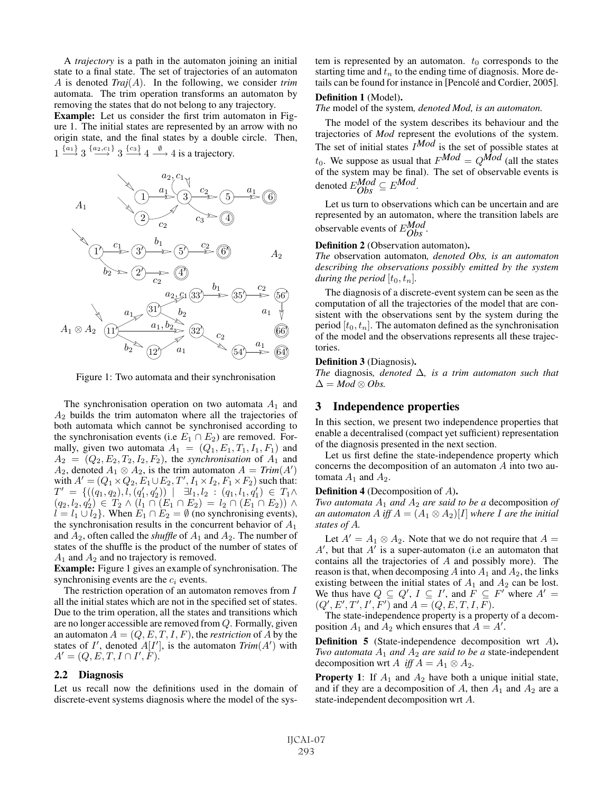A *trajectory* is a path in the automaton joining an initial state to a final state. The set of trajectories of an automaton A is denoted *Traj*(A). In the following, we consider *trim* automata. The trim operation transforms an automaton by removing the states that do not belong to any trajectory.

**Example:** Let us consider the first trim automaton in Figure 1. The initial states are represented by an arrow with no origin state, and the final states by a double circle. Then,  $1 \xrightarrow{\{a_1\}} 3 \xrightarrow{\{a_2, c_1\}} 3 \xrightarrow{\{c_3\}} 4 \xrightarrow{\emptyset} 4$  is a trajectory.



Figure 1: Two automata and their synchronisation

The synchronisation operation on two automata  $A_1$  and  $A<sub>2</sub>$  builds the trim automaton where all the trajectories of both automata which cannot be synchronised according to the synchronisation events (i.e  $E_1 \cap E_2$ ) are removed. Formally, given two automata  $A_1 = (Q_1, E_1, T_1, I_1, F_1)$  and  $A_2 = (Q_2, E_2, T_2, I_2, F_2)$ , the *synchronisation* of  $A_1$  and  $A_2$ , denoted  $A_1 \otimes A_2$ , is the trim automaton  $A = Trim(A')$ with  $A' = (Q_1 \times Q_2, E_1 \cup E_2, T', I_1 \times I_2, F_1 \times F_2)$  such that:  $T' \;=\; \{((q_1, q_2), \tilde{l}, (q_1', q_2')) \; \vert \; \; \; \exists l_1, l_2 \; \; \; (q_1, l_1, q_1') \; \in \; T_1 \wedge$  $(q_2, l_2, q'_2) \in T_2 \wedge (l_1 \cap (E_1 \cap E_2) = l_2 \cap (E_1 \cap E_2)) \wedge$  $l = l_1 \cup l_2$ . When  $E_1 \cap E_2 = \emptyset$  (no synchronising events), the synchronisation results in the concurrent behavior of  $A_1$ and  $A_2$ , often called the *shuffle* of  $A_1$  and  $A_2$ . The number of states of the shuffle is the product of the number of states of  $A_1$  and  $A_2$  and no trajectory is removed.

**Example:** Figure 1 gives an example of synchronisation. The synchronising events are the  $c_i$  events.

The restriction operation of an automaton removes from I all the initial states which are not in the specified set of states. Due to the trim operation, all the states and transitions which are no longer accessible are removed from Q. Formally, given an automaton  $A = (Q, E, T, I, F)$ , the *restriction* of A by the states of I', denoted  $A[I']$ , is the automaton  $Trim(A')$  with  $A' = (Q, E, T, I \cap I', \dot{F}).$ 

### **2.2 Diagnosis**

Let us recall now the definitions used in the domain of discrete-event systems diagnosis where the model of the system is represented by an automaton.  $t_0$  corresponds to the starting time and  $t_n$  to the ending time of diagnosis. More details can be found for instance in [Pencolé and Cordier, 2005].

### **Definition 1** (Model)**.**

*The* model of the system*, denoted Mod, is an automaton.*

The model of the system describes its behaviour and the trajectories of *Mod* represent the evolutions of the system. The set of initial states  $I^{Mod}$  is the set of possible states at  $t_0$ . We suppose as usual that  $F^{Mod} = Q^{Mod}$  (all the states of the system may be final). The set of observable events is denoted  $E_{Obs}^{Mod} \subseteq E^{Mod}$ .

Let us turn to observations which can be uncertain and are represented by an automaton, where the transition labels are observable events of E*Mod Obs* .

#### **Definition 2** (Observation automaton)**.**

*The* observation automaton*, denoted Obs, is an automaton describing the observations possibly emitted by the system during the period*  $[t_0, t_n]$ *.* 

The diagnosis of a discrete-event system can be seen as the computation of all the trajectories of the model that are consistent with the observations sent by the system during the period  $[t_0, t_n]$ . The automaton defined as the synchronisation of the model and the observations represents all these trajectories.

#### **Definition 3** (Diagnosis)**.**

*The* diagnosis*, denoted* Δ*, is a trim automaton such that*  $\Delta = Mod \otimes Obs.$ 

#### **3 Independence properties**

In this section, we present two independence properties that enable a decentralised (compact yet sufficient) representation of the diagnosis presented in the next section.

Let us first define the state-independence property which concerns the decomposition of an automaton A into two automata  $A_1$  and  $A_2$ .

#### **Definition 4** (Decomposition of A)**.**

*Two automata*  $A_1$  *and*  $A_2$  *are said to be a* decomposition *of an automaton* A *iff*  $A = (A_1 \otimes A_2)[I]$  *where* I are the *initial states of* A*.*

Let  $A' = A_1 \otimes A_2$ . Note that we do not require that  $A =$  $A'$ , but that  $A'$  is a super-automaton (i.e an automaton that contains all the trajectories of A and possibly more). The reason is that, when decomposing  $A$  into  $A_1$  and  $A_2$ , the links existing between the initial states of  $A_1$  and  $A_2$  can be lost. We thus have  $Q \subseteq Q'$ ,  $I \subseteq I'$ , and  $\overline{F} \subseteq F'$  where  $A' =$  $(Q', E', T', I', F')$  and  $A = (Q, E, T, I, F)$ .

The state-independence property is a property of a decomposition  $A_1$  and  $A_2$  which ensures that  $A = A'$ .

**Definition 5** (State-independence decomposition wrt A)**.** *Two automata*  $A_1$  *and*  $A_2$  *are said to be a* state-independent decomposition wrt A *iff*  $A = A_1 \otimes A_2$ .

**Property 1**: If  $A_1$  and  $A_2$  have both a unique initial state, and if they are a decomposition of  $A$ , then  $A_1$  and  $A_2$  are a state-independent decomposition wrt A.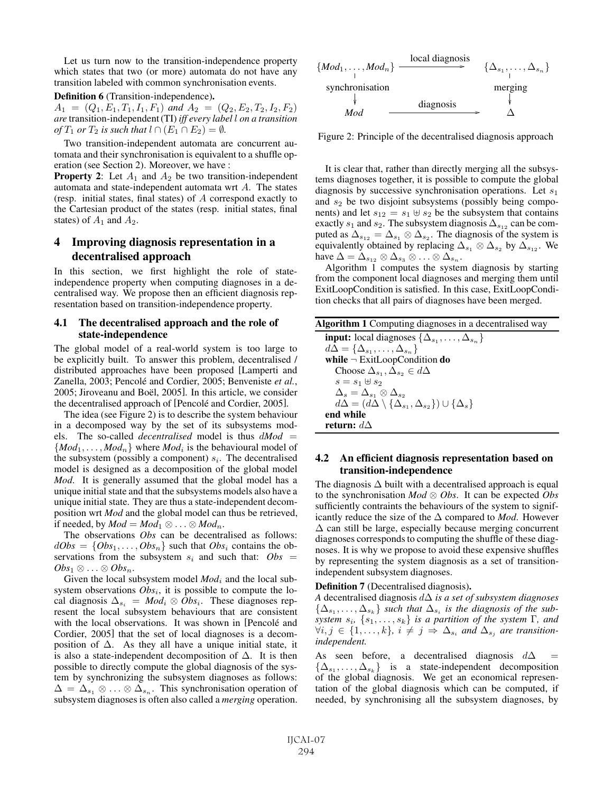Let us turn now to the transition-independence property which states that two (or more) automata do not have any transition labeled with common synchronisation events.

#### **Definition 6** (Transition-independence)**.**

 $A_1 = (Q_1, E_1, T_1, I_1, F_1)$  and  $A_2 = (Q_2, E_2, T_2, I_2, F_2)$ *are* transition-independent (TI) *iff every label* l *on a transition of*  $T_1$  *or*  $T_2$  *is such that*  $l \cap (E_1 \cap E_2) = \emptyset$ *.* 

Two transition-independent automata are concurrent automata and their synchronisation is equivalent to a shuffle operation (see Section 2). Moreover, we have :

**Property 2:** Let  $A_1$  and  $A_2$  be two transition-independent automata and state-independent automata wrt A. The states (resp. initial states, final states) of A correspond exactly to the Cartesian product of the states (resp. initial states, final states) of  $A_1$  and  $A_2$ .

# **4 Improving diagnosis representation in a decentralised approach**

In this section, we first highlight the role of stateindependence property when computing diagnoses in a decentralised way. We propose then an efficient diagnosis representation based on transition-independence property.

## **4.1 The decentralised approach and the role of state-independence**

The global model of a real-world system is too large to be explicitly built. To answer this problem, decentralised / distributed approaches have been proposed [Lamperti and Zanella, 2003; Pencolé and Cordier, 2005; Benveniste et al., 2005; Jiroveanu and Boël, 2005]. In this article, we consider the decentralised approach of [Pencolé and Cordier, 2005].

The idea (see Figure 2) is to describe the system behaviour in a decomposed way by the set of its subsystems models. The so-called *decentralised* model is thus  $dMod =$  ${Mod_1, \ldots, Mod_n}$  where *Mod<sub>i</sub>* is the behavioural model of the subsystem (possibly a component)  $s_i$ . The decentralised model is designed as a decomposition of the global model *Mod*. It is generally assumed that the global model has a unique initial state and that the subsystems models also have a unique initial state. They are thus a state-independent decomposition wrt *Mod* and the global model can thus be retrieved, if needed, by  $Mod = Mod_1 \otimes \ldots \otimes Mod_n$ .

The observations *Obs* can be decentralised as follows:  $dObs = \{Obs_1, \ldots, Obs_n\}$  such that  $Obs_i$  contains the observations from the subsystem  $s_i$  and such that:  $Obs =$  $Obs_1 \otimes \ldots \otimes Obs_n$ .

Given the local subsystem model  $Mod<sub>i</sub>$  and the local subsystem observations  $Obs_i$ , it is possible to compute the local diagnosis  $\Delta_{s_i} = Mod_i \otimes Obs_i$ . These diagnoses represent the local subsystem behaviours that are consistent with the local observations. It was shown in [Pencolé and Cordier, 2005] that the set of local diagnoses is a decomposition of  $\Delta$ . As they all have a unique initial state, it is also a state-independent decomposition of  $\Delta$ . It is then possible to directly compute the global diagnosis of the system by synchronizing the subsystem diagnoses as follows:  $\Delta = \Delta_{s_1} \otimes \ldots \otimes \Delta_{s_n}$ . This synchronisation operation of subsystem diagnoses is often also called a *merging* operation.



Figure 2: Principle of the decentralised diagnosis approach

It is clear that, rather than directly merging all the subsystems diagnoses together, it is possible to compute the global diagnosis by successive synchronisation operations. Let  $s_1$ and  $s_2$  be two disjoint subsystems (possibly being components) and let  $s_{12} = s_1 \oplus s_2$  be the subsystem that contains exactly  $s_1$  and  $s_2$ . The subsystem diagnosis  $\Delta_{s_1}$  can be computed as  $\Delta_{s_{12}} = \Delta_{s_1} \otimes \Delta_{s_2}$ . The diagnosis of the system is equivalently obtained by replacing  $\Delta_{s_1} \otimes \Delta_{s_2}$  by  $\Delta_{s_{12}}$ . We have  $\Delta = \Delta_{s_{12}} \otimes \Delta_{s_3} \otimes \ldots \otimes \Delta_{s_n}$ .

Algorithm 1 computes the system diagnosis by starting from the component local diagnoses and merging them until ExitLoopCondition is satisfied. In this case, ExitLoopCondition checks that all pairs of diagnoses have been merged.

| Algorithm 1 Computing diagnoses in a decentralised way |  |  |
|--------------------------------------------------------|--|--|
|--------------------------------------------------------|--|--|

## **4.2 An efficient diagnosis representation based on transition-independence**

The diagnosis  $\Delta$  built with a decentralised approach is equal to the synchronisation *Mod* ⊗ *Obs*. It can be expected *Obs* sufficiently contraints the behaviours of the system to significantly reduce the size of the  $\Delta$  compared to *Mod*. However  $\Delta$  can still be large, especially because merging concurrent diagnoses corresponds to computing the shuffle of these diagnoses. It is why we propose to avoid these expensive shuffles by representing the system diagnosis as a set of transitionindependent subsystem diagnoses.

**Definition 7** (Decentralised diagnosis)**.**

*A* decentralised diagnosis dΔ *is a set of subsystem diagnoses*  $\{\Delta_{s_1}, \ldots, \Delta_{s_k}\}\$  *such that*  $\Delta_{s_i}$  *is the diagnosis of the subsystem*  $s_i$ ,  $\{s_1, \ldots, s_k\}$  *is a partition of the system*  $\Gamma$ *, and*  $\forall i, j \in \{1, \ldots, k\}, i \neq j \Rightarrow \Delta_{s_i}$  and  $\Delta_{s_j}$  are transition*independent.*

As seen before, a decentralised diagnosis  $d\Delta$  $\{\Delta_{s_1}, \ldots, \Delta_{s_k}\}\$  is a state-independent decomposition of the global diagnosis. We get an economical representation of the global diagnosis which can be computed, if needed, by synchronising all the subsystem diagnoses, by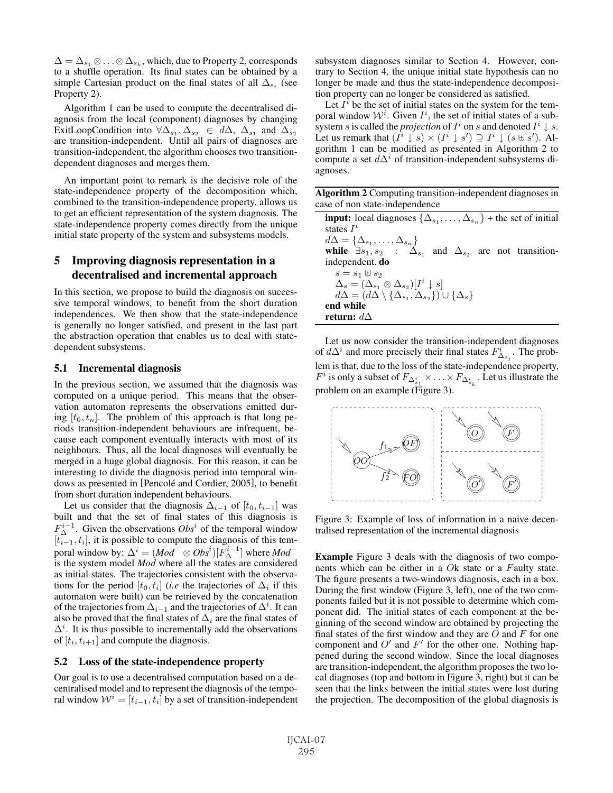$\Delta = \Delta_{s_1} \otimes \ldots \otimes \Delta_{s_k}$ , which, due to Property 2, corresponds to a shuffle operation. Its final states can be obtained by a simple Cartesian product on the final states of all  $\Delta_{s_i}$  (see Property 2).

Algorithm 1 can be used to compute the decentralised diagnosis from the local (component) diagnoses by changing ExitLoopCondition into  $\forall \Delta_{s_1}, \Delta_{s_2} \in d\Delta$ ,  $\Delta_{s_1}$  and  $\Delta_{s_2}$ are transition-independent. Until all pairs of diagnoses are transition-independent, the algorithm chooses two transitiondependent diagnoses and merges them.

An important point to remark is the decisive role of the state-independence property of the decomposition which, combined to the transition-independence property, allows us to get an efficient representation of the system diagnosis. The state-independence property comes directly from the unique initial state property of the system and subsystems models.

# **5 Improving diagnosis representation in a decentralised and incremental approach**

In this section, we propose to build the diagnosis on successive temporal windows, to benefit from the short duration independences. We then show that the state-independence is generally no longer satisfied, and present in the last part the abstraction operation that enables us to deal with statedependent subsystems.

# **5.1 Incremental diagnosis**

In the previous section, we assumed that the diagnosis was computed on a unique period. This means that the observation automaton represents the observations emitted during  $[t_0, t_n]$ . The problem of this approach is that long periods transition-independent behaviours are infrequent, because each component eventually interacts with most of its neighbours. Thus, all the local diagnoses will eventually be merged in a huge global diagnosis. For this reason, it can be interesting to divide the diagnosis period into temporal windows as presented in [Pencolé and Cordier, 2005], to benefit from short duration independent behaviours.

Let us consider that the diagnosis  $\Delta_{i-1}$  of  $[t_0, t_{i-1}]$  was built and that the set of final states of this diagnosis is  $F_{\Delta}^{i-1}$ . Given the observations  $Obs^i$  of the temporal window  $[t_{i-1}, t_i]$ , it is possible to compute the diagnosis of this temporal window by:  $\Delta^i = (Mod^- \otimes Obs^i)[F_{\Delta}^{i-1}]$  where  $Mod^$ is the system model *Mod* where all the states are considered as initial states. The trajectories consistent with the observations for the period  $[t_0, t_i]$  (*i.e* the trajectories of  $\Delta_i$  if this automaton were built) can be retrieved by the concatenation of the trajectories from  $\Delta_{i-1}$  and the trajectories of  $\Delta^i$ . It can also be proved that the final states of  $\Delta_i$  are the final states of  $\Delta^i$ . It is thus possible to incrementally add the observations of  $[t_i, t_{i+1}]$  and compute the diagnosis.

## **5.2 Loss of the state-independence property**

Our goal is to use a decentralised computation based on a decentralised model and to represent the diagnosis of the temporal window  $\mathcal{W}^i = [t_{i-1}, t_i]$  by a set of transition-independent subsystem diagnoses similar to Section 4. However, contrary to Section 4, the unique initial state hypothesis can no longer be made and thus the state-independence decomposition property can no longer be considered as satisfied.

Let  $I^i$  be the set of initial states on the system for the temporal window  $\mathcal{W}^i$ . Given  $I^i$ , the set of initial states of a subsystem s is called the *projection* of  $I^i$  on s and denoted  $I^i \downarrow s$ . Let us remark that  $(I^i \downarrow s) \times (I^i \downarrow s') \supseteq I^i \downarrow (s \uplus s')$ . Algorithm 1 can be modified as presented in Algorithm 2 to compute a set  $d\Delta^i$  of transition-independent subsystems diagnoses.

**Algorithm 2** Computing transition-independent diagnoses in case of non state-independence

**input:** local diagnoses  $\{\Delta_{s_1}, \ldots, \Delta_{s_n}\}$  + the set of initial states  $I^i$  $d\Delta = {\Delta_{s_1}, \ldots, \Delta_{s_n}}$ **while**  $\exists s_1, s_2$  :  $\Delta_{s_1}$  and  $\Delta_{s_2}$  are not transitionindependent. **do**  $s=s_1\uplus s_2$  $\Delta_s = (\Delta_{s_1} \otimes \Delta_{s_2})[I^i \downarrow s]$  $d\tilde{\Delta}=(d\tilde{\Delta}\setminus\{\Delta_{s_1}^{\vphantom{s_1}},\Delta_{s_2}\})\cup\{\Delta_s\}$ **end while return:** dΔ

Let us now consider the transition-independent diagnoses of  $d\Delta^i$  and more precisely their final states  $F^i_{\Delta_{s_j}}$ . The problem is that, due to the loss of the state-independence property,  $F^i$  is only a subset of  $F_{\Delta_{s_1}^i} \times \ldots \times F_{\Delta_{s_k}^i}$ . Let us illustrate the problem on an example (Figure 3).



Figure 3: Example of loss of information in a naive decentralised representation of the incremental diagnosis

**Example** Figure 3 deals with the diagnosis of two components which can be either in a Ok state or a Faulty state. The figure presents a two-windows diagnosis, each in a box. During the first window (Figure 3, left), one of the two components failed but it is not possible to determine which component did. The initial states of each component at the beginning of the second window are obtained by projecting the final states of the first window and they are  $O$  and  $F$  for one component and  $O'$  and  $F'$  for the other one. Nothing happened during the second window. Since the local diagnoses are transition-independent, the algorithm proposes the two local diagnoses (top and bottom in Figure 3, right) but it can be seen that the links between the initial states were lost during the projection. The decomposition of the global diagnosis is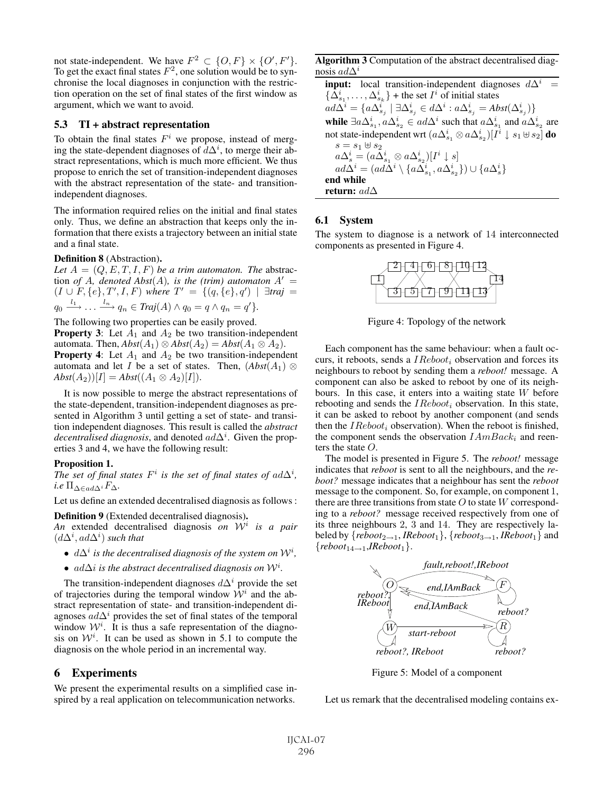not state-independent. We have  $F^2 \subset \{O, F\} \times \{O', F'\}.$ To get the exact final states  $F^2$ , one solution would be to synchronise the local diagnoses in conjunction with the restriction operation on the set of final states of the first window as argument, which we want to avoid.

#### **5.3 TI + abstract representation**

To obtain the final states  $F^i$  we propose, instead of merging the state-dependent diagnoses of  $d\Delta^i$ , to merge their abstract representations, which is much more efficient. We thus propose to enrich the set of transition-independent diagnoses with the abstract representation of the state- and transitionindependent diagnoses.

The information required relies on the initial and final states only. Thus, we define an abstraction that keeps only the information that there exists a trajectory between an initial state and a final state.

#### **Definition 8** (Abstraction)**.**

Let  $A = (Q, E, T, I, F)$  *be a trim automaton. The abstrac*tion *of* A, denoted  $\overrightarrow{Abs}(A)$ , is the (trim) automaton  $A' =$  $(I \cup F, \{e\}, T', I, F)$  where  $T' = \{(q, \{e\}, q') \mid \exists \text{traj} =$  $q_0 \stackrel{l_1}{\longrightarrow} \ldots \stackrel{l_n}{\longrightarrow} q_n \in Traj(A) \wedge q_0 = q \wedge q_n = q'$ .

The following two properties can be easily proved.

**Property 3**: Let  $A_1$  and  $A_2$  be two transition-independent automata. Then,  $Abst(A_1) \otimes Abst(A_2) = Abst(A_1 \otimes A_2)$ . **Property 4:** Let  $A_1$  and  $A_2$  be two transition-independent automata and let I be a set of states. Then,  $(Abst(A_1) \otimes$  $Abst(A_2)[I] = Abst((A_1 \otimes A_2)[I]).$ 

It is now possible to merge the abstract representations of the state-dependent, transition-independent diagnoses as presented in Algorithm 3 until getting a set of state- and transition independent diagnoses. This result is called the *abstract*  $decentralised \, diagnosis$ , and denoted  $ad\Delta^i$ . Given the properties 3 and 4, we have the following result:

#### **Proposition 1.**

*The set of final states*  $F^i$  *is the set of final states of ad* $\Delta^i$ *, i.e*  $\Pi_{\Delta \in \mathit{add}\Delta}$ *i*  $F_{\Delta}$ .

Let us define an extended decentralised diagnosis as follows :

**Definition 9** (Extended decentralised diagnosis)**.**

*An* extended decentralised diagnosis *on* W<sup>i</sup> *is a pair*  $(d\Delta^i, ad\Delta^i)$  *such that* 

- $d\Delta^i$  *is the decentralised diagnosis of the system on*  $W^i$ ,
- $ad\Delta i$  *is the abstract decentralised diagnosis on*  $W<sup>i</sup>$ *.*

The transition-independent diagnoses  $d\Delta^{i}$  provide the set of trajectories during the temporal window  $\mathcal{W}^i$  and the abstract representation of state- and transition-independent diagnoses  $ad\Delta^{i}$  provides the set of final states of the temporal window  $W^i$ . It is thus a safe representation of the diagnosis on  $W<sup>i</sup>$ . It can be used as shown in 5.1 to compute the diagnosis on the whole period in an incremental way.

## **6 Experiments**

We present the experimental results on a simplified case inspired by a real application on telecommunication networks.

**Algorithm 3** Computation of the abstract decentralised diagnosis  $ad\Delta^i$ 

**input:** local transition-independent diagnoses  $d\Delta^{i}$  =  $\{\Delta_{s_1}^i, \ldots, \Delta_{s_k}^i\}$  + the set  $I^i$  of initial states  $\hat{a}d\Delta^i=\{a\Delta_{s_j}^i\mid \exists \Delta_{s_j}^i\in d\Delta^i:a\Delta_{s_j}^i=Abst(\Delta_{s_j}^i)\}$ while  $\exists a \Delta_{s_1}^i$ ,  $a \Delta_{s_2}^i \in ad \Delta^i$  such that  $a \Delta_{s_1}^i$  and  $a \Delta_{s_2}^i$  are not state-independent wrt  $(a\Delta_{s_1}^i \otimes a\Delta_{s_2}^i)[\overline{I}^i \downarrow s_1 \uplus s_2]$  **do**  $s=s_1 \uplus s_2$  $a\Delta_s^i=(a\tilde{\Delta_{s_1}^i}\otimes a\Delta_{s_2}^i)[I^i\downarrow s]$  $ad\vec{\Delta}^i=(ad\vec{\Delta}^i\setminus\{a\vec{\Delta}^i_{s_1},a\vec{\Delta}^i_{s_2}\})\cup\{a\Delta^i_{s}\}$ **end while return:** adΔ

### **6.1 System**

The system to diagnose is a network of 14 interconnected components as presented in Figure 4.



Figure 4: Topology of the network

Each component has the same behaviour: when a fault occurs, it reboots, sends a  $IReboot$ ; observation and forces its neighbours to reboot by sending them a *reboot!* message. A component can also be asked to reboot by one of its neighbours. In this case, it enters into a waiting state W before rebooting and sends the  $IReboot_i$  observation. In this state, it can be asked to reboot by another component (and sends then the  $IReboot_i$  observation). When the reboot is finished, the component sends the observation  $IAmBack_i$  and reenters the state O.

The model is presented in Figure 5. The *reboot!* message indicates that *reboot* is sent to all the neighbours, and the *reboot?* message indicates that a neighbour has sent the *reboot* message to the component. So, for example, on component 1, there are three transitions from state  $O$  to state  $W$  corresponding to a *reboot?* message received respectively from one of its three neighbours 2, 3 and 14. They are respectively labeled by  $\{reboot_{2\rightarrow 1}, \text{IReboot}_1\}$ ,  $\{reboot_{3\rightarrow 1}, \text{IReboot}_1\}$  and  ${reboot_{14\rightarrow 1},}$ *IReboot*<sub>1</sub>.



Figure 5: Model of a component

Let us remark that the decentralised modeling contains ex-